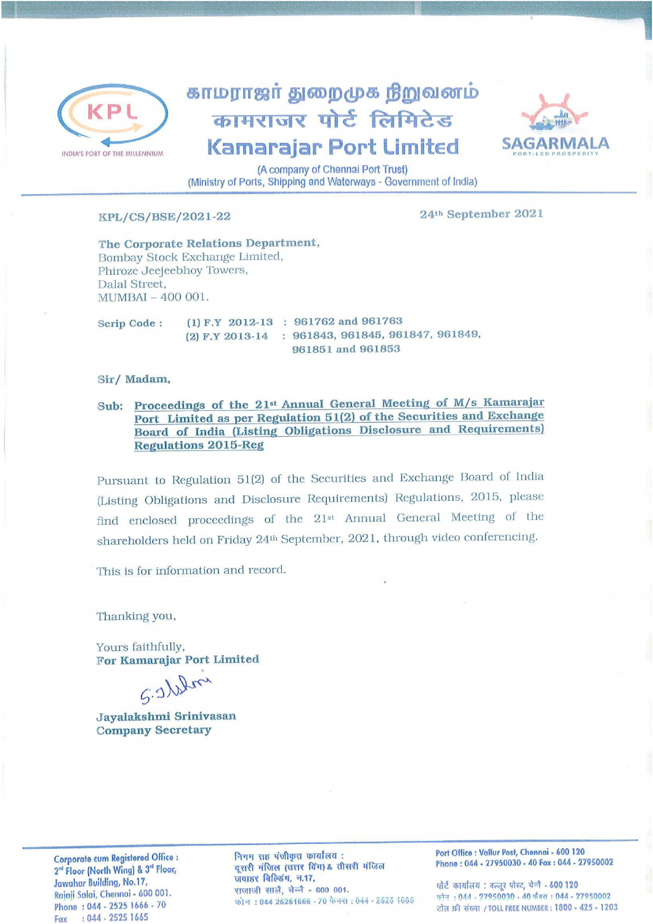

## காமராஜர் துறைமுக நிறுவனம் कामराजर पोर्ट लिमिटेड **Kamarajar Port Limited**



(A company of Chennai Port Trust) (Ministry of Ports, Shipping and Waterways - Government of India)

## KPL/CS/BSE/2021-22

24th September 2021

The Corporate Relations Department, Bombay Stock Exchange Limited, Phiroze Jeejeebhoy Towers, Dalal Street. MUMBAI - 400 001.

(1) F.Y 2012-13 : 961762 and 961763 Scrip Code: (2) F.Y 2013-14 : 961843, 961845, 961847, 961849, 961851 and 961853

Sir/Madam,

Sub: Proceedings of the 21<sup>st</sup> Annual General Meeting of M/s Kamarajar Port Limited as per Regulation 51(2) of the Securities and Exchange Board of India (Listing Obligations Disclosure and Requirements) **Regulations 2015-Reg** 

Pursuant to Regulation 51(2) of the Securities and Exchange Board of India (Listing Obligations and Disclosure Requirements) Regulations, 2015, please find enclosed proceedings of the 21<sup>st</sup> Annual General Meeting of the shareholders held on Friday 24th September, 2021, through video conferencing.

This is for information and record.

Thanking you,

Yours faithfully, For Kamarajar Port Limited

S. Illin

Jayalakshmi Srinivasan **Company Secretary** 

Corporate cum Registered Office : 2<sup>nd</sup> Floor (North Wing) & 3<sup>nd</sup> Floor, Jawahar Building, No.17, Rajaji Salai, Chennai - 600 001. Phone: 044 - 2525 1666 - 70 Fax : 044 - 2525 1665

निगम सह पंजीकृत कार्यालय: दूसरी मंजिल (उत्तर विंग) & तीसरी मंजिल जवाहर बिल्डिंग, न.17, राजाजी सालै, चेन्नै - 600 001. फोन: 044 26251666 - 70 फेक्स: 044 - 2525 1665 Port Office : Vallur Post, Chennai - 600 120 Phone: 044 - 27950030 - 40 Fax: 044 - 27950002

पोर्ट कार्यालय: उल्लर पोस्ट, चेन्नै - 600 120 फोन: 044 - 27950030 - 40 फैक्स: 044 - 27950002 टोल फ्री संख्या / TOLL FREE NUMBER : 1800 - 425 - 1203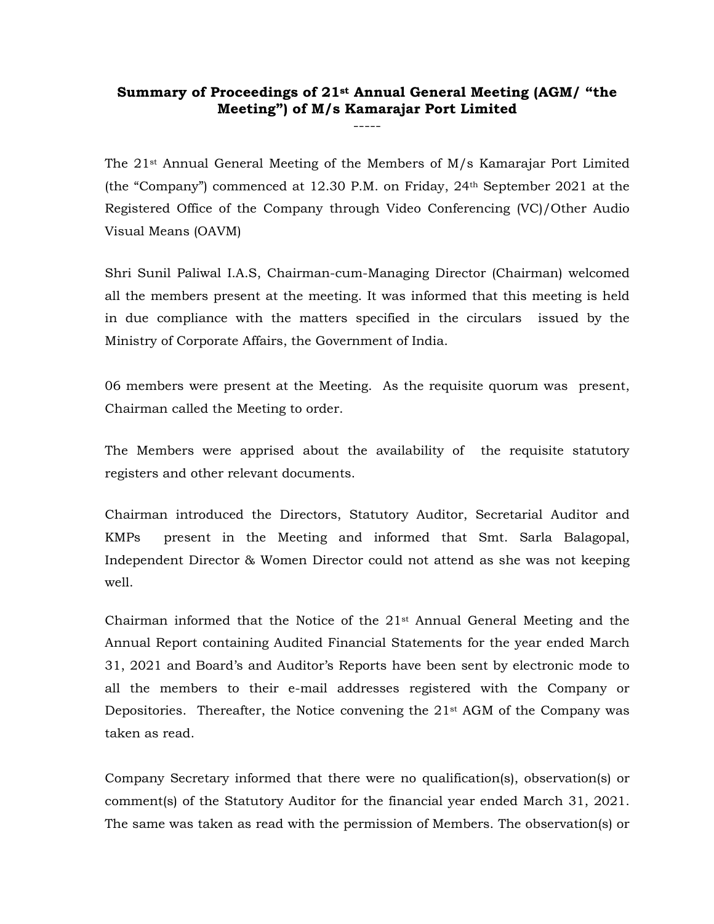## Summary of Proceedings of 21st Annual General Meeting (AGM/ "the Meeting") of M/s Kamarajar Port Limited -----

The  $21$ <sup>st</sup> Annual General Meeting of the Members of  $M/s$  Kamarajar Port Limited (the "Company") commenced at 12.30 P.M. on Friday, 24th September 2021 at the Registered Office of the Company through Video Conferencing (VC)/Other Audio Visual Means (OAVM)

Shri Sunil Paliwal I.A.S, Chairman-cum-Managing Director (Chairman) welcomed all the members present at the meeting. It was informed that this meeting is held in due compliance with the matters specified in the circulars issued by the Ministry of Corporate Affairs, the Government of India.

06 members were present at the Meeting. As the requisite quorum was present, Chairman called the Meeting to order.

The Members were apprised about the availability of the requisite statutory registers and other relevant documents.

Chairman introduced the Directors, Statutory Auditor, Secretarial Auditor and KMPs present in the Meeting and informed that Smt. Sarla Balagopal, Independent Director & Women Director could not attend as she was not keeping well.

Chairman informed that the Notice of the  $21<sup>st</sup>$  Annual General Meeting and the Annual Report containing Audited Financial Statements for the year ended March 31, 2021 and Board's and Auditor's Reports have been sent by electronic mode to all the members to their e-mail addresses registered with the Company or Depositories. Thereafter, the Notice convening the  $21<sup>st</sup>$  AGM of the Company was taken as read.

Company Secretary informed that there were no qualification(s), observation(s) or comment(s) of the Statutory Auditor for the financial year ended March 31, 2021. The same was taken as read with the permission of Members. The observation(s) or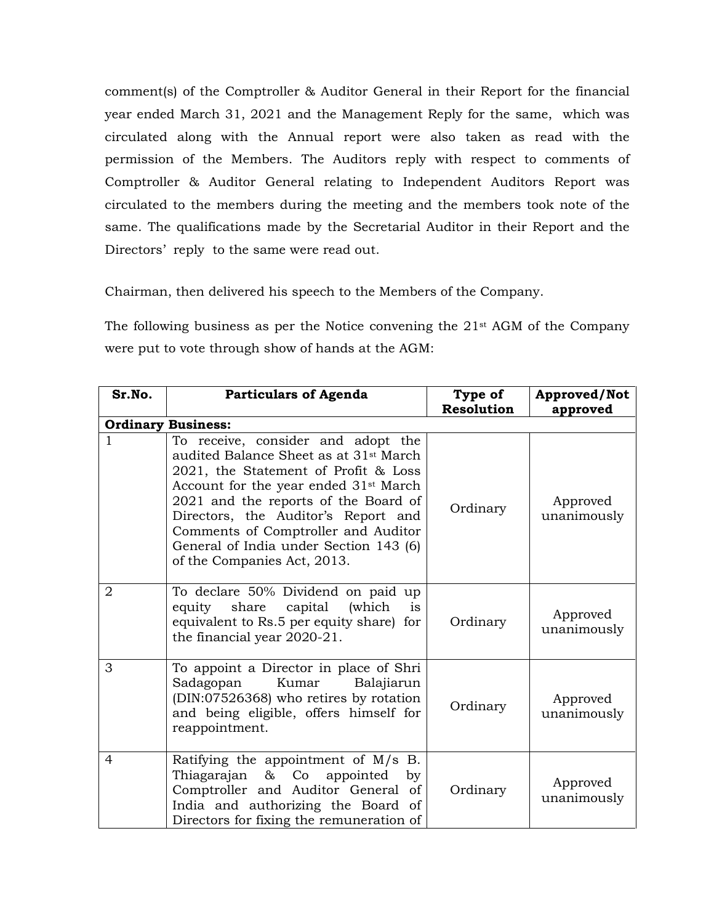comment(s) of the Comptroller & Auditor General in their Report for the financial year ended March 31, 2021 and the Management Reply for the same, which was circulated along with the Annual report were also taken as read with the permission of the Members. The Auditors reply with respect to comments of Comptroller & Auditor General relating to Independent Auditors Report was circulated to the members during the meeting and the members took note of the same. The qualifications made by the Secretarial Auditor in their Report and the Directors' reply to the same were read out.

Chairman, then delivered his speech to the Members of the Company.

The following business as per the Notice convening the 21st AGM of the Company were put to vote through show of hands at the AGM:

| Sr.No.                    | <b>Particulars of Agenda</b>                                                                                                                                                                                                                                                                                                                                                         | Type of           | Approved/Not            |  |  |
|---------------------------|--------------------------------------------------------------------------------------------------------------------------------------------------------------------------------------------------------------------------------------------------------------------------------------------------------------------------------------------------------------------------------------|-------------------|-------------------------|--|--|
|                           |                                                                                                                                                                                                                                                                                                                                                                                      | <b>Resolution</b> | approved                |  |  |
| <b>Ordinary Business:</b> |                                                                                                                                                                                                                                                                                                                                                                                      |                   |                         |  |  |
| 1                         | To receive, consider and adopt the<br>audited Balance Sheet as at 31 <sup>st</sup> March<br>2021, the Statement of Profit & Loss<br>Account for the year ended 31 <sup>st</sup> March<br>2021 and the reports of the Board of<br>Directors, the Auditor's Report and<br>Comments of Comptroller and Auditor<br>General of India under Section 143 (6)<br>of the Companies Act, 2013. | Ordinary          | Approved<br>unanimously |  |  |
| $\overline{2}$            | To declare 50% Dividend on paid up<br>(which<br>share<br>capital<br>equity<br><i>is</i><br>equivalent to Rs.5 per equity share) for<br>the financial year 2020-21.                                                                                                                                                                                                                   | Ordinary          | Approved<br>unanimously |  |  |
| 3                         | To appoint a Director in place of Shri<br>Sadagopan<br>Kumar<br>Balajiarun<br>(DIN:07526368) who retires by rotation<br>and being eligible, offers himself for<br>reappointment.                                                                                                                                                                                                     | Ordinary          | Approved<br>unanimously |  |  |
| $\overline{4}$            | Ratifying the appointment of M/s<br>B.<br>Thiagarajan &<br>Co<br>appointed<br>by<br>Comptroller and Auditor General of<br>India and authorizing the Board of<br>Directors for fixing the remuneration of                                                                                                                                                                             | Ordinary          | Approved<br>unanimously |  |  |